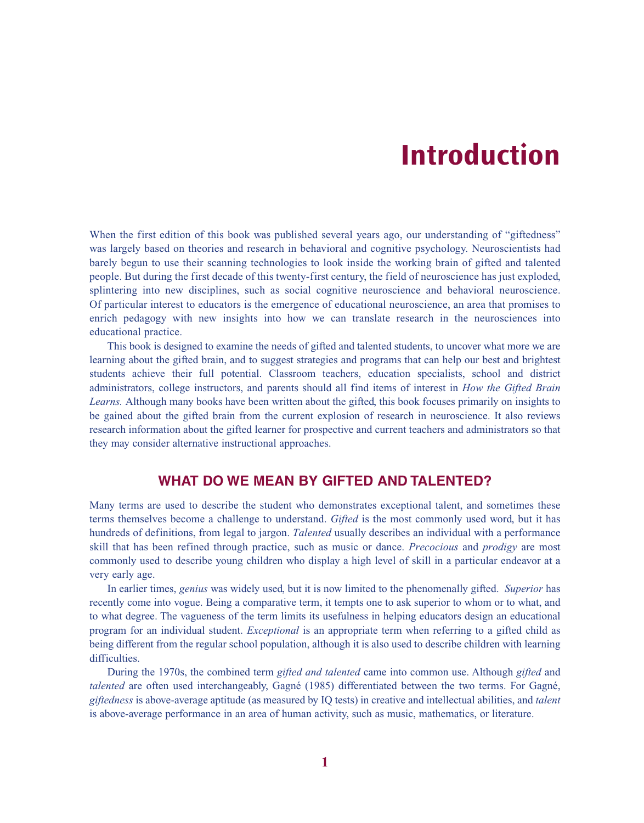# **Introduction**

When the first edition of this book was published several years ago, our understanding of "giftedness" was largely based on theories and research in behavioral and cognitive psychology. Neuroscientists had barely begun to use their scanning technologies to look inside the working brain of gifted and talented people. But during the first decade of this twenty-first century, the field of neuroscience has just exploded, splintering into new disciplines, such as social cognitive neuroscience and behavioral neuroscience. Of particular interest to educators is the emergence of educational neuroscience, an area that promises to enrich pedagogy with new insights into how we can translate research in the neurosciences into educational practice.

This book is designed to examine the needs of gifted and talented students, to uncover what more we are learning about the gifted brain, and to suggest strategies and programs that can help our best and brightest students achieve their full potential. Classroom teachers, education specialists, school and district administrators, college instructors, and parents should all find items of interest in *How the Gifted Brain Learns.* Although many books have been written about the gifted, this book focuses primarily on insights to be gained about the gifted brain from the current explosion of research in neuroscience. It also reviews research information about the gifted learner for prospective and current teachers and administrators so that they may consider alternative instructional approaches.

## **WHAT DO WE MEAN BY GIFTED AND TALENTED?**

Many terms are used to describe the student who demonstrates exceptional talent, and sometimes these terms themselves become a challenge to understand. *Gifted* is the most commonly used word, but it has hundreds of definitions, from legal to jargon. *Talented* usually describes an individual with a performance skill that has been refined through practice, such as music or dance. *Precocious* and *prodigy* are most commonly used to describe young children who display a high level of skill in a particular endeavor at a very early age.

In earlier times, *genius* was widely used, but it is now limited to the phenomenally gifted. *Superior* has recently come into vogue. Being a comparative term, it tempts one to ask superior to whom or to what, and to what degree. The vagueness of the term limits its usefulness in helping educators design an educational program for an individual student. *Exceptional* is an appropriate term when referring to a gifted child as being different from the regular school population, although it is also used to describe children with learning difficulties.

During the 1970s, the combined term *gifted and talented* came into common use. Although *gifted* and *talented* are often used interchangeably, Gagné (1985) differentiated between the two terms. For Gagné, *giftedness* is above-average aptitude (as measured by IQ tests) in creative and intellectual abilities, and *talent* is above-average performance in an area of human activity, such as music, mathematics, or literature.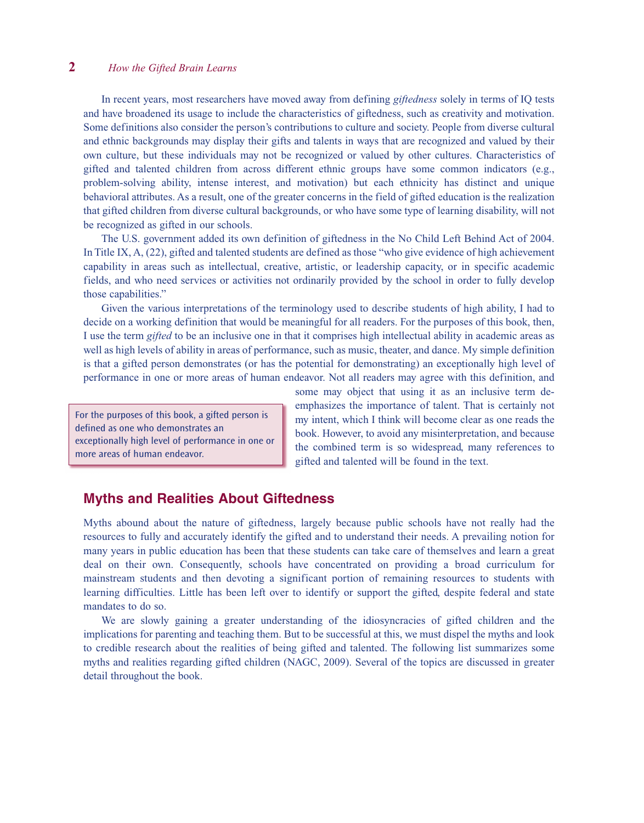#### **2**———*How the Gifted Brain Learns*

In recent years, most researchers have moved away from defining *giftedness* solely in terms of IQ tests and have broadened its usage to include the characteristics of giftedness, such as creativity and motivation. Some definitions also consider the person's contributions to culture and society. People from diverse cultural and ethnic backgrounds may display their gifts and talents in ways that are recognized and valued by their own culture, but these individuals may not be recognized or valued by other cultures. Characteristics of gifted and talented children from across different ethnic groups have some common indicators (e.g., problem-solving ability, intense interest, and motivation) but each ethnicity has distinct and unique behavioral attributes. As a result, one of the greater concerns in the field of gifted education is the realization that gifted children from diverse cultural backgrounds, or who have some type of learning disability, will not be recognized as gifted in our schools.

The U.S. government added its own definition of giftedness in the No Child Left Behind Act of 2004. In Title IX, A, (22), gifted and talented students are defined as those "who give evidence of high achievement capability in areas such as intellectual, creative, artistic, or leadership capacity, or in specific academic fields, and who need services or activities not ordinarily provided by the school in order to fully develop those capabilities."

Given the various interpretations of the terminology used to describe students of high ability, I had to decide on a working definition that would be meaningful for all readers. For the purposes of this book, then, I use the term *gifted* to be an inclusive one in that it comprises high intellectual ability in academic areas as well as high levels of ability in areas of performance, such as music, theater, and dance. My simple definition is that a gifted person demonstrates (or has the potential for demonstrating) an exceptionally high level of performance in one or more areas of human endeavor. Not all readers may agree with this definition, and

For the purposes of this book, a gifted person is defined as one who demonstrates an exceptionally high level of performance in one or more areas of human endeavor.

some may object that using it as an inclusive term deemphasizes the importance of talent. That is certainly not my intent, which I think will become clear as one reads the book. However, to avoid any misinterpretation, and because the combined term is so widespread, many references to gifted and talented will be found in the text.

#### **Myths and Realities About Giftedness**

Myths abound about the nature of giftedness, largely because public schools have not really had the resources to fully and accurately identify the gifted and to understand their needs. A prevailing notion for many years in public education has been that these students can take care of themselves and learn a great deal on their own. Consequently, schools have concentrated on providing a broad curriculum for mainstream students and then devoting a significant portion of remaining resources to students with learning difficulties. Little has been left over to identify or support the gifted, despite federal and state mandates to do so.

We are slowly gaining a greater understanding of the idiosyncracies of gifted children and the implications for parenting and teaching them. But to be successful at this, we must dispel the myths and look to credible research about the realities of being gifted and talented. The following list summarizes some myths and realities regarding gifted children (NAGC, 2009). Several of the topics are discussed in greater detail throughout the book.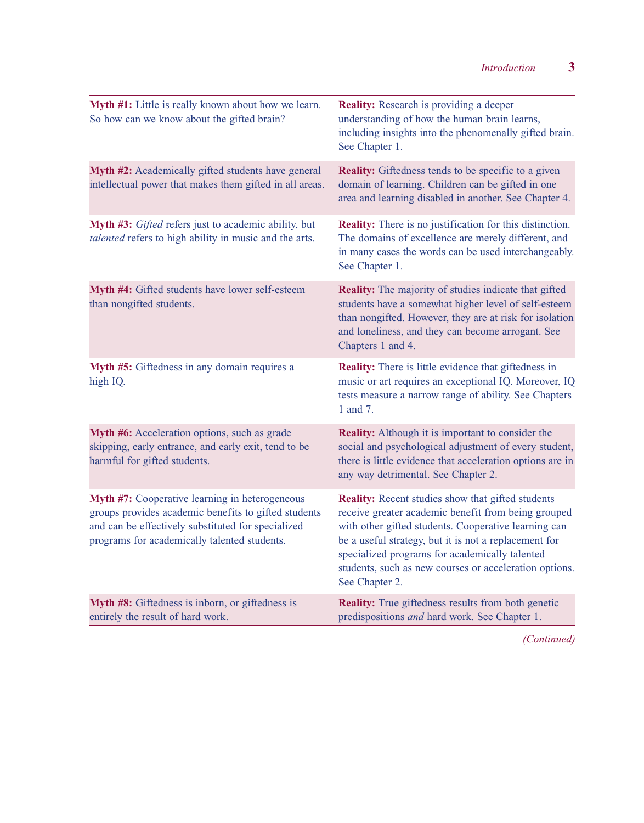| Myth #1: Little is really known about how we learn.<br>So how can we know about the gifted brain?                                                                                                                   | <b>Reality:</b> Research is providing a deeper<br>understanding of how the human brain learns,<br>including insights into the phenomenally gifted brain.<br>See Chapter 1.                                                                                                                                                                                     |
|---------------------------------------------------------------------------------------------------------------------------------------------------------------------------------------------------------------------|----------------------------------------------------------------------------------------------------------------------------------------------------------------------------------------------------------------------------------------------------------------------------------------------------------------------------------------------------------------|
| Myth #2: Academically gifted students have general<br>intellectual power that makes them gifted in all areas.                                                                                                       | <b>Reality:</b> Giftedness tends to be specific to a given<br>domain of learning. Children can be gifted in one<br>area and learning disabled in another. See Chapter 4.                                                                                                                                                                                       |
| Myth #3: Gifted refers just to academic ability, but<br>talented refers to high ability in music and the arts.                                                                                                      | <b>Reality:</b> There is no justification for this distinction.<br>The domains of excellence are merely different, and<br>in many cases the words can be used interchangeably.<br>See Chapter 1.                                                                                                                                                               |
| Myth #4: Gifted students have lower self-esteem<br>than nongifted students.                                                                                                                                         | <b>Reality:</b> The majority of studies indicate that gifted<br>students have a somewhat higher level of self-esteem<br>than nongifted. However, they are at risk for isolation<br>and loneliness, and they can become arrogant. See<br>Chapters 1 and 4.                                                                                                      |
| Myth #5: Giftedness in any domain requires a<br>high IQ.                                                                                                                                                            | <b>Reality:</b> There is little evidence that giftedness in<br>music or art requires an exceptional IQ. Moreover, IQ<br>tests measure a narrow range of ability. See Chapters<br>1 and 7.                                                                                                                                                                      |
| Myth #6: Acceleration options, such as grade<br>skipping, early entrance, and early exit, tend to be<br>harmful for gifted students.                                                                                | <b>Reality:</b> Although it is important to consider the<br>social and psychological adjustment of every student,<br>there is little evidence that acceleration options are in<br>any way detrimental. See Chapter 2.                                                                                                                                          |
| <b>Myth #7:</b> Cooperative learning in heterogeneous<br>groups provides academic benefits to gifted students<br>and can be effectively substituted for specialized<br>programs for academically talented students. | <b>Reality:</b> Recent studies show that gifted students<br>receive greater academic benefit from being grouped<br>with other gifted students. Cooperative learning can<br>be a useful strategy, but it is not a replacement for<br>specialized programs for academically talented<br>students, such as new courses or acceleration options.<br>See Chapter 2. |
| Myth #8: Giftedness is inborn, or giftedness is<br>entirely the result of hard work.                                                                                                                                | <b>Reality:</b> True giftedness results from both genetic<br>predispositions and hard work. See Chapter 1.                                                                                                                                                                                                                                                     |

*(Continued)*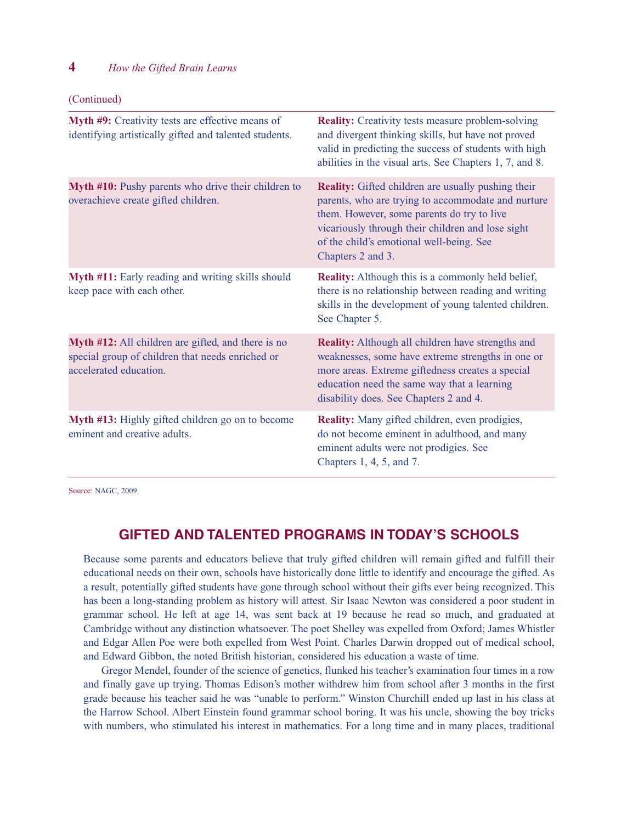#### **4**———*How the Gifted Brain Learns*

(Continued)

| Myth #9: Creativity tests are effective means of<br>identifying artistically gifted and talented students.                       | <b>Reality:</b> Creativity tests measure problem-solving<br>and divergent thinking skills, but have not proved<br>valid in predicting the success of students with high<br>abilities in the visual arts. See Chapters 1, 7, and 8.                                                  |
|----------------------------------------------------------------------------------------------------------------------------------|-------------------------------------------------------------------------------------------------------------------------------------------------------------------------------------------------------------------------------------------------------------------------------------|
| Myth #10: Pushy parents who drive their children to<br>overachieve create gifted children.                                       | <b>Reality:</b> Gifted children are usually pushing their<br>parents, who are trying to accommodate and nurture<br>them. However, some parents do try to live<br>vicariously through their children and lose sight<br>of the child's emotional well-being. See<br>Chapters 2 and 3. |
| Myth #11: Early reading and writing skills should<br>keep pace with each other.                                                  | <b>Reality:</b> Although this is a commonly held belief,<br>there is no relationship between reading and writing<br>skills in the development of young talented children.<br>See Chapter 5.                                                                                         |
| Myth #12: All children are gifted, and there is no<br>special group of children that needs enriched or<br>accelerated education. | <b>Reality:</b> Although all children have strengths and<br>weaknesses, some have extreme strengths in one or<br>more areas. Extreme giftedness creates a special<br>education need the same way that a learning<br>disability does. See Chapters 2 and 4.                          |
| Myth #13: Highly gifted children go on to become<br>eminent and creative adults.                                                 | <b>Reality:</b> Many gifted children, even prodigies,<br>do not become eminent in adulthood, and many<br>eminent adults were not prodigies. See<br>Chapters 1, 4, 5, and 7.                                                                                                         |

Source: NAGC, 2009.

## **GIFTED AND TALENTED PROGRAMS IN TODAY'S SCHOOLS**

Because some parents and educators believe that truly gifted children will remain gifted and fulfill their educational needs on their own, schools have historically done little to identify and encourage the gifted. As a result, potentially gifted students have gone through school without their gifts ever being recognized. This has been a long-standing problem as history will attest. Sir Isaac Newton was considered a poor student in grammar school. He left at age 14, was sent back at 19 because he read so much, and graduated at Cambridge without any distinction whatsoever. The poet Shelley was expelled from Oxford; James Whistler and Edgar Allen Poe were both expelled from West Point. Charles Darwin dropped out of medical school, and Edward Gibbon, the noted British historian, considered his education a waste of time.

Gregor Mendel, founder of the science of genetics, flunked his teacher's examination four times in a row and finally gave up trying. Thomas Edison's mother withdrew him from school after 3 months in the first grade because his teacher said he was "unable to perform." Winston Churchill ended up last in his class at the Harrow School. Albert Einstein found grammar school boring. It was his uncle, showing the boy tricks with numbers, who stimulated his interest in mathematics. For a long time and in many places, traditional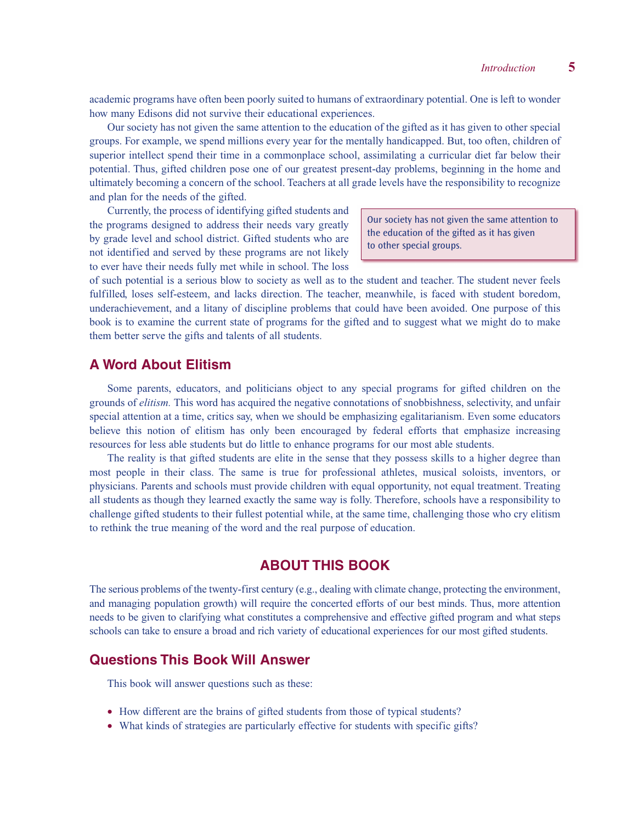academic programs have often been poorly suited to humans of extraordinary potential. One is left to wonder how many Edisons did not survive their educational experiences.

Our society has not given the same attention to the education of the gifted as it has given to other special groups. For example, we spend millions every year for the mentally handicapped. But, too often, children of superior intellect spend their time in a commonplace school, assimilating a curricular diet far below their potential. Thus, gifted children pose one of our greatest present-day problems, beginning in the home and ultimately becoming a concern of the school. Teachers at all grade levels have the responsibility to recognize and plan for the needs of the gifted.

Currently, the process of identifying gifted students and the programs designed to address their needs vary greatly by grade level and school district. Gifted students who are not identified and served by these programs are not likely to ever have their needs fully met while in school. The loss

Our society has not given the same attention to the education of the gifted as it has given to other special groups.

of such potential is a serious blow to society as well as to the student and teacher. The student never feels fulfilled, loses self-esteem, and lacks direction. The teacher, meanwhile, is faced with student boredom, underachievement, and a litany of discipline problems that could have been avoided. One purpose of this book is to examine the current state of programs for the gifted and to suggest what we might do to make them better serve the gifts and talents of all students.

## **A Word About Elitism**

Some parents, educators, and politicians object to any special programs for gifted children on the grounds of *elitism.* This word has acquired the negative connotations of snobbishness, selectivity, and unfair special attention at a time, critics say, when we should be emphasizing egalitarianism. Even some educators believe this notion of elitism has only been encouraged by federal efforts that emphasize increasing resources for less able students but do little to enhance programs for our most able students.

The reality is that gifted students are elite in the sense that they possess skills to a higher degree than most people in their class. The same is true for professional athletes, musical soloists, inventors, or physicians. Parents and schools must provide children with equal opportunity, not equal treatment. Treating all students as though they learned exactly the same way is folly. Therefore, schools have a responsibility to challenge gifted students to their fullest potential while, at the same time, challenging those who cry elitism to rethink the true meaning of the word and the real purpose of education.

## **ABOUT THIS BOOK**

The serious problems of the twenty-first century (e.g., dealing with climate change, protecting the environment, and managing population growth) will require the concerted efforts of our best minds. Thus, more attention needs to be given to clarifying what constitutes a comprehensive and effective gifted program and what steps schools can take to ensure a broad and rich variety of educational experiences for our most gifted students.

#### **Questions This Book Will Answer**

This book will answer questions such as these:

- How different are the brains of gifted students from those of typical students?
- What kinds of strategies are particularly effective for students with specific gifts?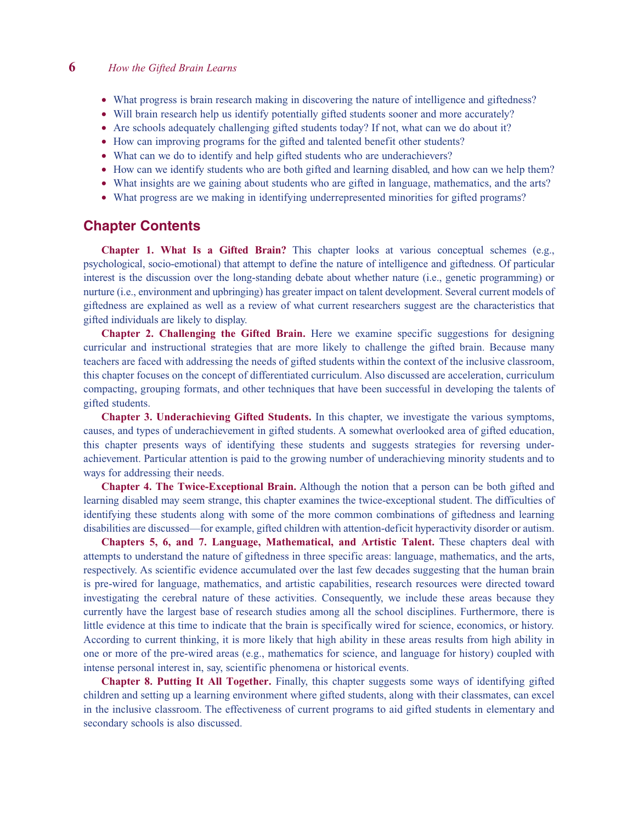- What progress is brain research making in discovering the nature of intelligence and giftedness?
- Will brain research help us identify potentially gifted students sooner and more accurately?
- Are schools adequately challenging gifted students today? If not, what can we do about it?
- How can improving programs for the gifted and talented benefit other students?
- What can we do to identify and help gifted students who are underachievers?
- How can we identify students who are both gifted and learning disabled, and how can we help them?
- What insights are we gaining about students who are gifted in language, mathematics, and the arts?
- What progress are we making in identifying underrepresented minorities for gifted programs?

#### **Chapter Contents**

**Chapter 1. What Is a Gifted Brain?** This chapter looks at various conceptual schemes (e.g., psychological, socio-emotional) that attempt to define the nature of intelligence and giftedness. Of particular interest is the discussion over the long-standing debate about whether nature (i.e., genetic programming) or nurture (i.e., environment and upbringing) has greater impact on talent development. Several current models of giftedness are explained as well as a review of what current researchers suggest are the characteristics that gifted individuals are likely to display.

**Chapter 2. Challenging the Gifted Brain.** Here we examine specific suggestions for designing curricular and instructional strategies that are more likely to challenge the gifted brain. Because many teachers are faced with addressing the needs of gifted students within the context of the inclusive classroom, this chapter focuses on the concept of differentiated curriculum. Also discussed are acceleration, curriculum compacting, grouping formats, and other techniques that have been successful in developing the talents of gifted students.

**Chapter 3. Underachieving Gifted Students.** In this chapter, we investigate the various symptoms, causes, and types of underachievement in gifted students. A somewhat overlooked area of gifted education, this chapter presents ways of identifying these students and suggests strategies for reversing underachievement. Particular attention is paid to the growing number of underachieving minority students and to ways for addressing their needs.

**Chapter 4. The Twice-Exceptional Brain.** Although the notion that a person can be both gifted and learning disabled may seem strange, this chapter examines the twice-exceptional student. The difficulties of identifying these students along with some of the more common combinations of giftedness and learning disabilities are discussed—for example, gifted children with attention-deficit hyperactivity disorder or autism.

**Chapters 5, 6, and 7. Language, Mathematical, and Artistic Talent.** These chapters deal with attempts to understand the nature of giftedness in three specific areas: language, mathematics, and the arts, respectively. As scientific evidence accumulated over the last few decades suggesting that the human brain is pre-wired for language, mathematics, and artistic capabilities, research resources were directed toward investigating the cerebral nature of these activities. Consequently, we include these areas because they currently have the largest base of research studies among all the school disciplines. Furthermore, there is little evidence at this time to indicate that the brain is specifically wired for science, economics, or history. According to current thinking, it is more likely that high ability in these areas results from high ability in one or more of the pre-wired areas (e.g., mathematics for science, and language for history) coupled with intense personal interest in, say, scientific phenomena or historical events.

**Chapter 8. Putting It All Together.** Finally, this chapter suggests some ways of identifying gifted children and setting up a learning environment where gifted students, along with their classmates, can excel in the inclusive classroom. The effectiveness of current programs to aid gifted students in elementary and secondary schools is also discussed.